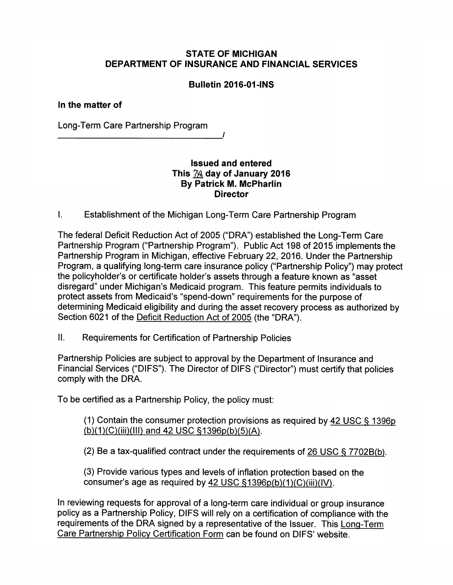## *STATE OF MICHIGAN DEPARTMENT OF INSURANCE AND FINANCIAL SERVICES*

# *Bulletin 2016-01 -INS*

### *In the matter of*

Long-Term Care Partnership Program

### *Issued and entered This JA day of January 2016 By Patrick M. McPharlin Director*

*/* 

I. Establishment of the Michigan Long-Term Care Partnership Program

The federal Deficit Reduction Act of 2005 ("DRA") established the Long-Term Care Partnership Program ("Partnership Program"). Public Act 198 of 2015 implements the Partnership Program in Michigan, effective February 22, 2016. Under the Partnership Program, a qualifying long-term care insurance policy ("Partnership Policy") may protect the policyholder's or certificate holder's assets through a feature known as "asset disregard" under Michigan's Medicaid program. This feature permits individuals to protect assets from Medicaid's "spend-down" requirements for the purpose of determining Medicaid eligibility and during the asset recovery process as authorized by Section 6021 of the [Deficit Reduction Act of 2005](http://www.gpo.gov/fdsys/pkg/PLAW-109publ171/pdf/PLAW-109publ171.pdf) (the "DRA").

II. Requirements for Certification of Partnership Policies

Partnership Policies are subject to approval by the Department of Insurance and Financial Services ("DIFS"). The Director of DIFS ("Director") must certify that policies comply with the DRA.

To be certified as a Partnership Policy, the policy must:

(1) Contain the consumer protection provisions as required b[y 42 USC \\$ 1396p](http://www.gpo.gov/fdsys/pkg/USCODE-2010-title42/pdf/USCODE-2010-title42-chap7-subchapXIX-sec1396p.pdf)  [\(b\)\(1\)\(C\)\(iii\)\(lll\) and 42 USC §1396p\(b\)\(5\)\(A\).](http://www.gpo.gov/fdsys/pkg/USCODE-2010-title42/pdf/USCODE-2010-title42-chap7-subchapXIX-sec1396p.pdf) 

(2) Be a tax-qualified contract under the requirements of [26 USC § 7702B\(b\).](http://www.gpo.gov/fdsys/pkg/USCODE-2011-title26/pdf/USCODE-2011-title26-subtitleF-chap79-sec7702B.pdf) 

(3) Provide various types and levels of inflation protection based on the consumer's age as required b[y 42 USC §1396p\(b\)\(1\)\(C\)\(iii\)\(IV\).](http://www.gpo.gov/fdsys/pkg/USCODE-2010-title42/pdf/USCODE-2010-title42-chap7-subchapXIX-sec1396p.pdf) 

In reviewing requests for approval of a long-term care individual or group insurance policy as a Partnership Policy, DIFS will rely on a certification of compliance with the requirements of the DRA signed by a representative of the Issuer. Thi[s Long-Term](http://www.michigan.gov/documents/difs/FIS_2310_508086_7.pdf)  [Care Partnership Policy Certification Form](http://www.michigan.gov/documents/difs/FIS_2310_508086_7.pdf) can be found on DIFS' website.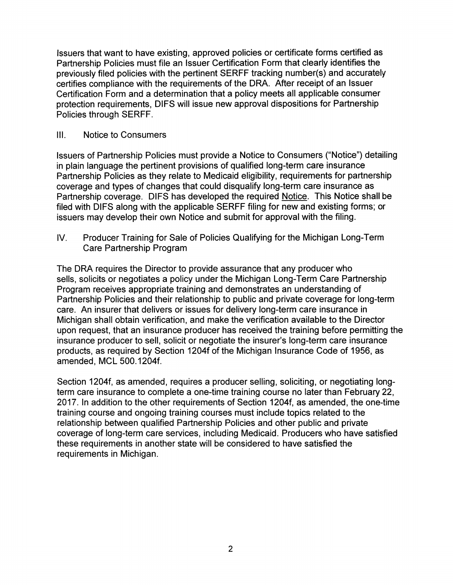Issuers that want to have existing, approved policies or certificate forms certified as Partnership Policies must file an Issuer Certification Form that clearly identifies the previously filed policies with the pertinent SERFF tracking number(s) and accurately certifies compliance with the requirements of the DRA. After receipt of an Issuer Certification Form and a determination that a policy meets all applicable consumer protection requirements, DIFS will issue new approval dispositions for Partnership Policies through SERFF.

### III. Notice to Consumers

Issuers of Partnership Policies must provide a Notice to Consumers ("Notice") detailing in plain language the pertinent provisions of qualified long-term care insurance Partnership Policies as they relate to Medicaid eligibility, requirements for partnership coverage and types of changes that could disqualify long-term care insurance as Partnership coverage. DIFS has developed the required [Notice.](http://www.michigan.gov/documents/difs/FIS_2310_508086_7.pdf) This Notice shall be filed with DIFS along with the applicable SERFF filing for new and existing forms; or issuers may develop their own Notice and submit for approval with the filing.

IV. Producer Training for Sale of Policies Qualifying for the Michigan Long-Term Care Partnership Program

The DRA requires the Director to provide assurance that any producer who sells, solicits or negotiates a policy under the Michigan Long-Term Care Partnership Program receives appropriate training and demonstrates an understanding of Partnership Policies and their relationship to public and private coverage for long-term care. An insurer that delivers or issues for delivery long-term care insurance in Michigan shall obtain verification, and make the verification available to the Director upon request, that an insurance producer has received the training before permitting the insurance producer to sell, solicit or negotiate the insurer's long-term care insurance products, as required by Section 1204f of the Michigan Insurance Code of 1956, as amended, MCL 500.1204f.

Section 1204f, as amended, requires a producer selling, soliciting, or negotiating longterm care insurance to complete a one-time training course no later than February 22, 2017. In addition to the other requirements of Section 1204f, as amended, the one-time training course and ongoing training courses must include topics related to the relationship between qualified Partnership Policies and other public and private coverage of long-term care services, including Medicaid. Producers who have satisfied these requirements in another state will be considered to have satisfied the requirements in Michigan.